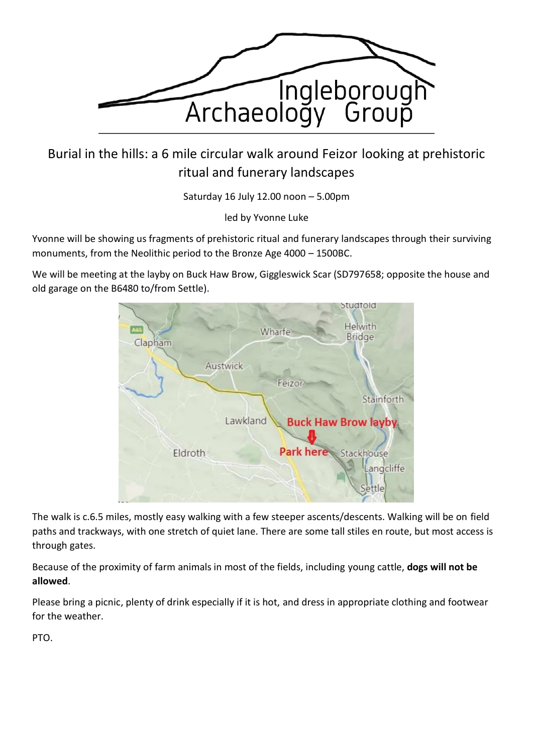

Burial in the hills: a 6 mile circular walk around Feizor looking at prehistoric ritual and funerary landscapes

Saturday 16 July 12.00 noon – 5.00pm

led by Yvonne Luke

Yvonne will be showing us fragments of prehistoric ritual and funerary landscapes through their surviving monuments, from the Neolithic period to the Bronze Age 4000 – 1500BC.

We will be meeting at the layby on Buck Haw Brow, Giggleswick Scar (SD797658; opposite the house and old garage on the B6480 to/from Settle).



The walk is c.6.5 miles, mostly easy walking with a few steeper ascents/descents. Walking will be on field paths and trackways, with one stretch of quiet lane. There are some tall stiles en route, but most access is through gates.

Because of the proximity of farm animals in most of the fields, including young cattle, **dogs will not be allowed**.

Please bring a picnic, plenty of drink especially if it is hot, and dress in appropriate clothing and footwear for the weather.

PTO.